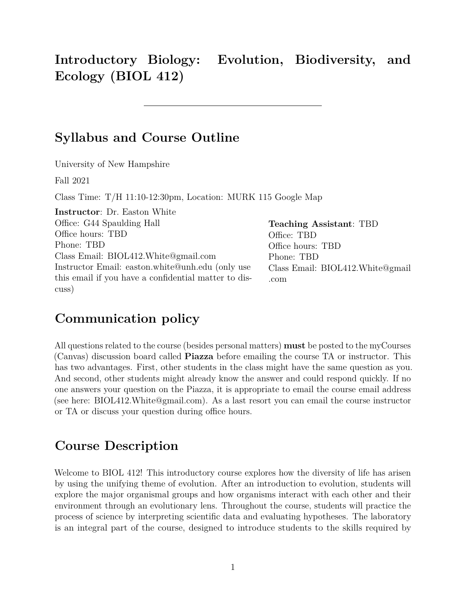**Introductory Biology: Evolution, Biodiversity, and Ecology (BIOL 412)**

### **Syllabus and Course Outline**

University of New Hampshire

Fall 2021

Class Time: T/H 11:10-12:30pm, Location: [MURK 115](https://www.unh.edu/it/av/facility/murkland-hall/115) [Google Map](https://www.google.com/maps/place/Murkland,+Durham,+NH+03824/@43.1361589,-70.9352626,17z/data=!3m1!4b1!4m5!3m4!1s0x89e293bdc89311db:0xce9c060ac87fcf7c!8m2!3d43.136155!4d-70.9330739)

| <b>Instructor:</b> Dr. Easton White                  |                                  |
|------------------------------------------------------|----------------------------------|
| Office: G44 Spaulding Hall                           | <b>Teaching Assistant: TBD</b>   |
| Office hours: TBD                                    | Office: TBD                      |
| Phone: TBD                                           | Office hours: TBD                |
| Class Email: BIOL412.White@gmail.com                 | Phone: TBD                       |
| Instructor Email: easton.white@unh.edu (only use     | Class Email: BIOL412.White@gmail |
| this email if you have a confidential matter to dis- | .com                             |
| cuss)                                                |                                  |

### **Communication policy**

All questions related to the course (besides personal matters) **must** be posted to the myCourses (Canvas) discussion board called **Piazza** before emailing the course TA or instructor. This has two advantages. First, other students in the class might have the same question as you. And second, other students might already know the answer and could respond quickly. If no one answers your question on the Piazza, it is appropriate to email the course email address (see here: [BIOL412.White@gmail.com\)](mailto:BIOL412.White@gmail.com). As a last resort you can email the course instructor or TA or discuss your question during office hours.

### **Course Description**

Welcome to BIOL 412! This introductory course explores how the diversity of life has arisen by using the unifying theme of evolution. After an introduction to evolution, students will explore the major organismal groups and how organisms interact with each other and their environment through an evolutionary lens. Throughout the course, students will practice the process of science by interpreting scientific data and evaluating hypotheses. The laboratory is an integral part of the course, designed to introduce students to the skills required by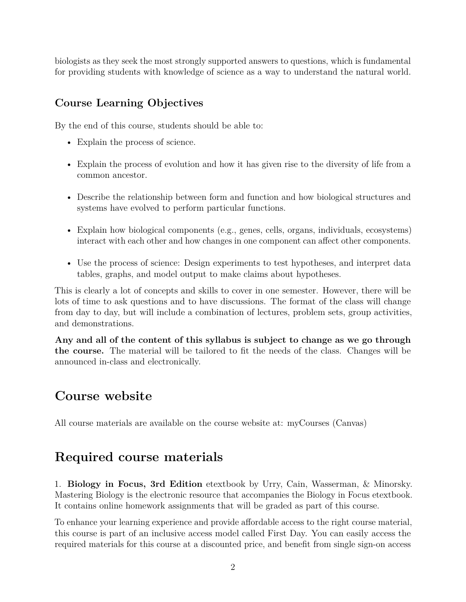biologists as they seek the most strongly supported answers to questions, which is fundamental for providing students with knowledge of science as a way to understand the natural world.

### **Course Learning Objectives**

By the end of this course, students should be able to:

- Explain the process of science.
- Explain the process of evolution and how it has given rise to the diversity of life from a common ancestor.
- Describe the relationship between form and function and how biological structures and systems have evolved to perform particular functions.
- Explain how biological components (e.g., genes, cells, organs, individuals, ecosystems) interact with each other and how changes in one component can affect other components.
- Use the process of science: Design experiments to test hypotheses, and interpret data tables, graphs, and model output to make claims about hypotheses.

This is clearly a lot of concepts and skills to cover in one semester. However, there will be lots of time to ask questions and to have discussions. The format of the class will change from day to day, but will include a combination of lectures, problem sets, group activities, and demonstrations.

**Any and all of the content of this syllabus is subject to change as we go through the course.** The material will be tailored to fit the needs of the class. Changes will be announced in-class and electronically.

# **Course website**

All course materials are available on the course website at: [myCourses \(Canvas\)](https://mycourses.unh.edu/courses/84555)

# **Required course materials**

1. **Biology in Focus, 3rd Edition** etextbook by Urry, Cain, Wasserman, & Minorsky. Mastering Biology is the electronic resource that accompanies the Biology in Focus etextbook. It contains online homework assignments that will be graded as part of this course.

To enhance your learning experience and provide affordable access to the right course material, this course is part of an inclusive access model called First Day. You can easily access the required materials for this course at a discounted price, and benefit from single sign-on access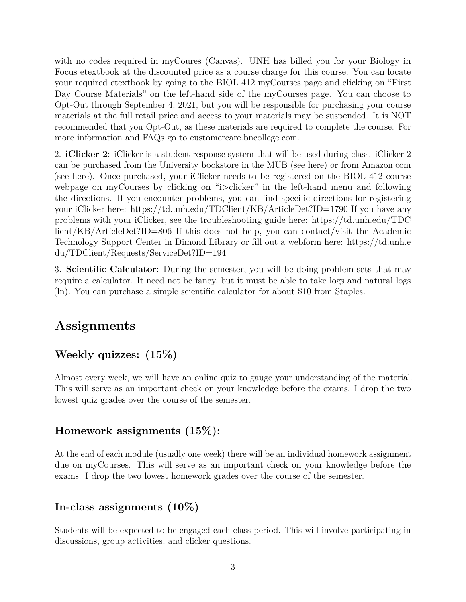with no codes required in myCoures (Canvas). UNH has billed you for your Biology in Focus etextbook at the discounted price as a course charge for this course. You can locate your required etextbook by going to the BIOL 412 myCourses page and clicking on "First Day Course Materials" on the left-hand side of the myCourses page. You can choose to Opt-Out through September 4, 2021, but you will be responsible for purchasing your course materials at the full retail price and access to your materials may be suspended. It is NOT recommended that you Opt-Out, as these materials are required to complete the course. For more information and FAQs go to customercare.bncollege.com.

2. **iClicker 2**: iClicker is a student response system that will be used during class. iClicker 2 can be purchased from the University bookstore in the MUB (see here) or from Amazon.com (see here). Once purchased, your iClicker needs to be registered on the BIOL 412 course webpage on myCourses by clicking on "i>clicker" in the left-hand menu and following the directions. If you encounter problems, you can find specific directions for registering your iClicker here:<https://td.unh.edu/TDClient/KB/ArticleDet?ID=1790> If you have any problems with your iClicker, see the troubleshooting guide here: [https://td.unh.edu/TDC](https://td.unh.edu/TDClient/KB/ArticleDet?ID=806) [lient/KB/ArticleDet?ID=806](https://td.unh.edu/TDClient/KB/ArticleDet?ID=806) If this does not help, you can contact/visit the Academic Technology Support Center in Dimond Library or fill out a webform here: [https://td.unh.e](https://td.unh.edu/TDClient/Requests/ServiceDet?ID=194) [du/TDClient/Requests/ServiceDet?ID=194](https://td.unh.edu/TDClient/Requests/ServiceDet?ID=194)

3. **Scientific Calculator**: During the semester, you will be doing problem sets that may require a calculator. It need not be fancy, but it must be able to take logs and natural logs (ln). You can purchase a simple scientific calculator for about \$10 from Staples.

# **Assignments**

### **Weekly quizzes: (15%)**

Almost every week, we will have an online quiz to gauge your understanding of the material. This will serve as an important check on your knowledge before the exams. I drop the two lowest quiz grades over the course of the semester.

#### **Homework assignments (15%):**

At the end of each module (usually one week) there will be an individual homework assignment due on myCourses. This will serve as an important check on your knowledge before the exams. I drop the two lowest homework grades over the course of the semester.

### **In-class assignments (10%)**

Students will be expected to be engaged each class period. This will involve participating in discussions, group activities, and clicker questions.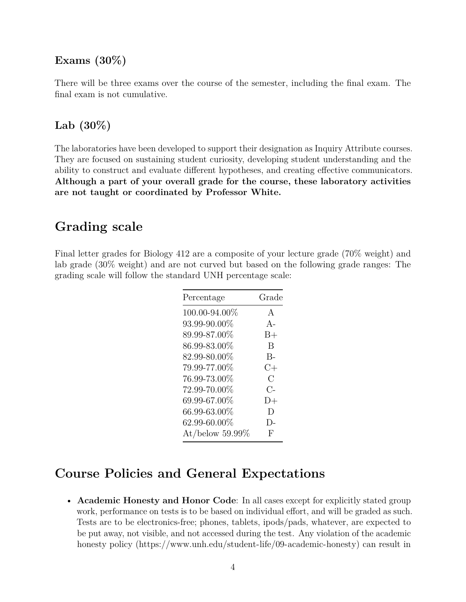#### **Exams (30%)**

There will be three exams over the course of the semester, including the final exam. The final exam is not cumulative.

#### **Lab (30%)**

The laboratories have been developed to support their designation as Inquiry Attribute courses. They are focused on sustaining student curiosity, developing student understanding and the ability to construct and evaluate different hypotheses, and creating effective communicators. **Although a part of your overall grade for the course, these laboratory activities are not taught or coordinated by Professor White.**

### **Grading scale**

Final letter grades for Biology 412 are a composite of your lecture grade (70% weight) and lab grade (30% weight) and are not curved but based on the following grade ranges: The grading scale will follow the standard UNH percentage scale:

| Percentage         | Grade          |
|--------------------|----------------|
| 100.00-94.00%      | $\mathsf{A}$   |
| 93.99-90.00%       | $A-$           |
| 89.99-87.00%       | $B+$           |
| 86.99-83.00%       | B              |
| 82.99-80.00%       | $B -$          |
| 79.99-77.00%       | $C+$           |
| 76.99-73.00%       | $\overline{C}$ |
| 72.99-70.00%       | $C-$           |
| 69.99-67.00%       | $D+$           |
| 66.99-63.00%       | D)             |
| 62.99-60.00%       | $\Gamma$       |
| At/below $59.99\%$ | F              |

## **Course Policies and General Expectations**

• **Academic Honesty and Honor Code**: In all cases except for explicitly stated group work, performance on tests is to be based on individual effort, and will be graded as such. Tests are to be electronics-free; phones, tablets, ipods/pads, whatever, are expected to be put away, not visible, and not accessed during the test. Any violation of the academic honesty policy [\(https://www.unh.edu/student-life/09-academic-honesty\)](https://www.unh.edu/student-life/09-academic-honesty) can result in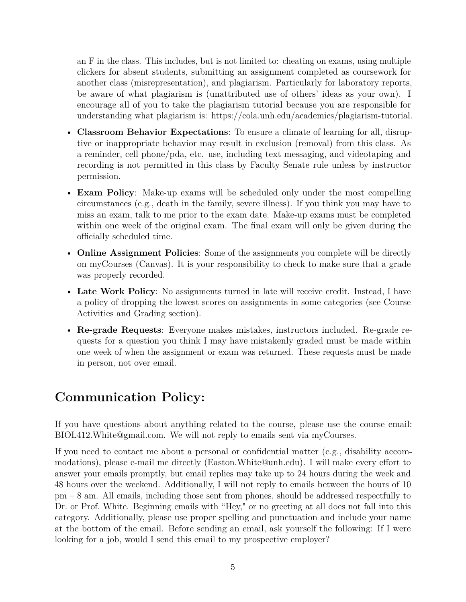an F in the class. This includes, but is not limited to: cheating on exams, using multiple clickers for absent students, submitting an assignment completed as coursework for another class (misrepresentation), and plagiarism. Particularly for laboratory reports, be aware of what plagiarism is (unattributed use of others' ideas as your own). I encourage all of you to take the plagiarism tutorial because you are responsible for understanding what plagiarism is: [https://cola.unh.edu/academics/plagiarism-tutorial.](https://cola.unh.edu/academics/plagiarism-tutorial)

- **Classroom Behavior Expectations**: To ensure a climate of learning for all, disruptive or inappropriate behavior may result in exclusion (removal) from this class. As a reminder, cell phone/pda, etc. use, including text messaging, and videotaping and recording is not permitted in this class by Faculty Senate rule unless by instructor permission.
- **Exam Policy**: Make-up exams will be scheduled only under the most compelling circumstances (e.g., death in the family, severe illness). If you think you may have to miss an exam, talk to me prior to the exam date. Make-up exams must be completed within one week of the original exam. The final exam will only be given during the officially scheduled time.
- **Online Assignment Policies**: Some of the assignments you complete will be directly on myCourses (Canvas). It is your responsibility to check to make sure that a grade was properly recorded.
- **Late Work Policy**: No assignments turned in late will receive credit. Instead, I have a policy of dropping the lowest scores on assignments in some categories (see Course Activities and Grading section).
- **Re-grade Requests**: Everyone makes mistakes, instructors included. Re-grade requests for a question you think I may have mistakenly graded must be made within one week of when the assignment or exam was returned. These requests must be made in person, not over email.

# **Communication Policy:**

If you have questions about anything related to the course, please use the course email: [BIOL412.White@gmail.com.](mailto:BIOL412.White@gmail.com) We will not reply to emails sent via myCourses.

If you need to contact me about a personal or confidential matter (e.g., disability accommodations), please e-mail me directly [\(Easton.White@unh.edu\)](mailto:Easton.White@unh.edu). I will make every effort to answer your emails promptly, but email replies may take up to 24 hours during the week and 48 hours over the weekend. Additionally, I will not reply to emails between the hours of 10 pm – 8 am. All emails, including those sent from phones, should be addressed respectfully to Dr. or Prof. White. Beginning emails with "Hey," or no greeting at all does not fall into this category. Additionally, please use proper spelling and punctuation and include your name at the bottom of the email. Before sending an email, ask yourself the following: If I were looking for a job, would I send this email to my prospective employer?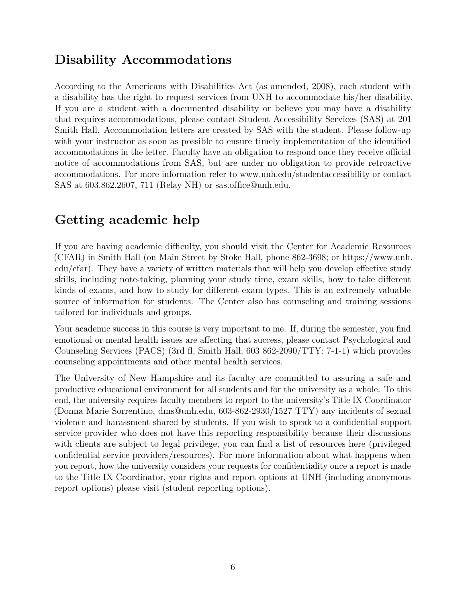# **Disability Accommodations**

According to the Americans with Disabilities Act (as amended, 2008), each student with a disability has the right to request services from UNH to accommodate his/her disability. If you are a student with a documented disability or believe you may have a disability that requires accommodations, please contact Student Accessibility Services (SAS) at 201 Smith Hall. Accommodation letters are created by SAS with the student. Please follow-up with your instructor as soon as possible to ensure timely implementation of the identified accommodations in the letter. Faculty have an obligation to respond once they receive official notice of accommodations from SAS, but are under no obligation to provide retroactive accommodations. For more information refer to www.unh.edu/studentaccessibility or contact SAS at 603.862.2607, 711 (Relay NH) or [sas.office@unh.edu.](mailto:sas.office@unh.edu)

# **Getting academic help**

If you are having academic difficulty, you should visit the Center for Academic Resources (CFAR) in Smith Hall (on Main Street by Stoke Hall, phone 862-3698; or [https://www.unh.](https://www.unh.edu/cfar) [edu/cfar\)](https://www.unh.edu/cfar). They have a variety of written materials that will help you develop effective study skills, including note-taking, planning your study time, exam skills, how to take different kinds of exams, and how to study for different exam types. This is an extremely valuable source of information for students. The Center also has counseling and training sessions tailored for individuals and groups.

Your academic success in this course is very important to me. If, during the semester, you find emotional or mental health issues are affecting that success, please contact Psychological and Counseling Services (PACS) (3rd fl, Smith Hall; 603 862-2090/TTY: 7-1-1) which provides counseling appointments and other mental health services.

The University of New Hampshire and its faculty are committed to assuring a safe and productive educational environment for all students and for the university as a whole. To this end, the university requires faculty members to report to the university's Title IX Coordinator (Donna Marie Sorrentino, [dms@unh.edu,](mailto:dms@unh.edu) 603-862-2930/1527 TTY) any incidents of sexual violence and harassment shared by students. If you wish to speak to a confidential support service provider who does not have this reporting responsibility because their discussions with clients are subject to legal privilege, you can find a list of resources here (privileged confidential service providers/resources). For more information about what happens when you report, how the university considers your requests for confidentiality once a report is made to the Title IX Coordinator, your rights and report options at UNH (including anonymous report options) please visit (student reporting options).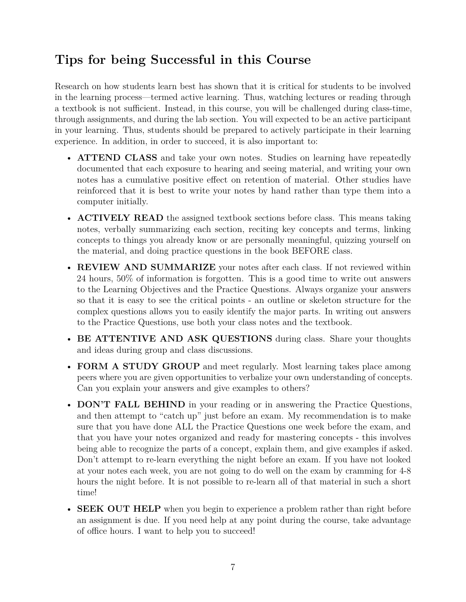# **Tips for being Successful in this Course**

Research on how students learn best has shown that it is critical for students to be involved in the learning process—termed active learning. Thus, watching lectures or reading through a textbook is not sufficient. Instead, in this course, you will be challenged during class-time, through assignments, and during the lab section. You will expected to be an active participant in your learning. Thus, students should be prepared to actively participate in their learning experience. In addition, in order to succeed, it is also important to:

- **ATTEND CLASS** and take your own notes. Studies on learning have repeatedly documented that each exposure to hearing and seeing material, and writing your own notes has a cumulative positive effect on retention of material. Other studies have reinforced that it is best to write your notes by hand rather than type them into a computer initially.
- **ACTIVELY READ** the assigned textbook sections before class. This means taking notes, verbally summarizing each section, reciting key concepts and terms, linking concepts to things you already know or are personally meaningful, quizzing yourself on the material, and doing practice questions in the book BEFORE class.
- **REVIEW AND SUMMARIZE** your notes after each class. If not reviewed within 24 hours, 50% of information is forgotten. This is a good time to write out answers to the Learning Objectives and the Practice Questions. Always organize your answers so that it is easy to see the critical points - an outline or skeleton structure for the complex questions allows you to easily identify the major parts. In writing out answers to the Practice Questions, use both your class notes and the textbook.
- **BE ATTENTIVE AND ASK QUESTIONS** during class. Share your thoughts and ideas during group and class discussions.
- **FORM A STUDY GROUP** and meet regularly. Most learning takes place among peers where you are given opportunities to verbalize your own understanding of concepts. Can you explain your answers and give examples to others?
- **DON'T FALL BEHIND** in your reading or in answering the Practice Questions, and then attempt to "catch up" just before an exam. My recommendation is to make sure that you have done ALL the Practice Questions one week before the exam, and that you have your notes organized and ready for mastering concepts - this involves being able to recognize the parts of a concept, explain them, and give examples if asked. Don't attempt to re-learn everything the night before an exam. If you have not looked at your notes each week, you are not going to do well on the exam by cramming for 4-8 hours the night before. It is not possible to re-learn all of that material in such a short time!
- **SEEK OUT HELP** when you begin to experience a problem rather than right before an assignment is due. If you need help at any point during the course, take advantage of office hours. I want to help you to succeed!